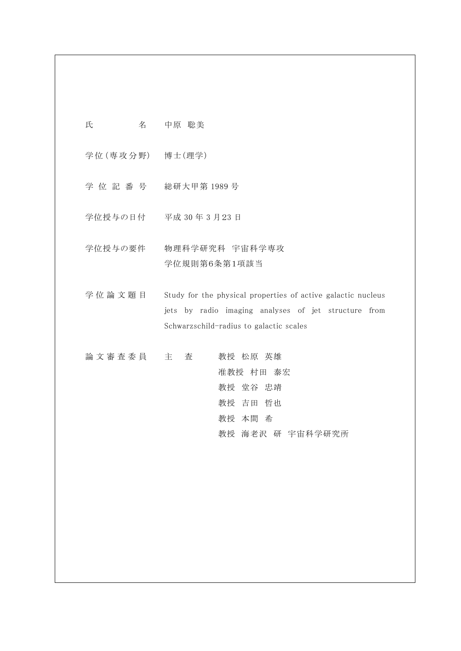氏 名 中原 聡美

学位 (専攻分野) 博士 (理学)

- 学 位 記 番 号 総研大甲第 1989 号
- 学位授与の日付 平成 30 年 3 月23 日
- 学位授与の要件 物理科学研究科 宇宙科学専攻 学位規則第6条第1項該当

学位論文題目 Study for the physical properties of active galactic nucleus jets by radio imaging analyses of jet structure from Schwarzschild-radius to galactic scales

| 論文審査委員 主 査 |  | 教授 松原 英雄         |
|------------|--|------------------|
|            |  | 准教授 村田 泰宏        |
|            |  | 教授 堂谷 忠靖         |
|            |  | 教授 吉田 哲也         |
|            |  | 教授 本間 希          |
|            |  | 教授 海老沢 研 宇宙科学研究所 |
|            |  |                  |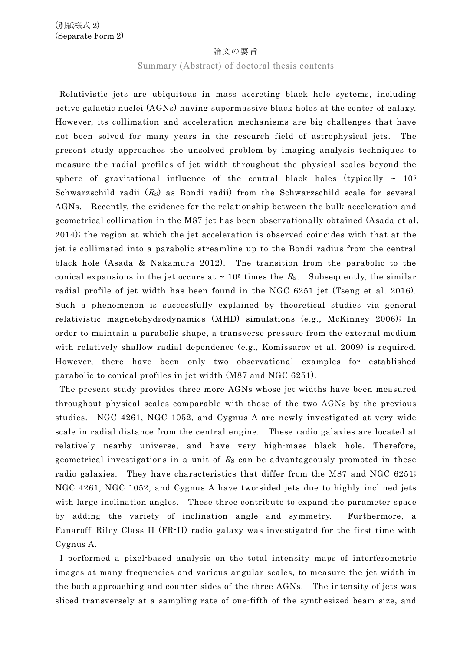### 論文の要旨

# Summary (Abstract) of doctoral thesis contents

Relativistic jets are ubiquitous in mass accreting black hole systems, including active galactic nuclei (AGNs) having supermassive black holes at the center of galaxy. However, its collimation and acceleration mechanisms are big challenges that have not been solved for many years in the research field of astrophysical jets. The present study approaches the unsolved problem by imaging analysis techniques to measure the radial profiles of jet width throughout the physical scales beyond the sphere of gravitational influence of the central black holes (typically ~ 10<sup>5</sup> Schwarzschild radii  $(R<sub>S</sub>)$  as Bondi radii) from the Schwarzschild scale for several AGNs. Recently, the evidence for the relationship between the bulk acceleration and geometrical collimation in the M87 jet has been observationally obtained (Asada et al. 2014); the region at which the jet acceleration is observed coincides with that at the jet is collimated into a parabolic streamline up to the Bondi radius from the central black hole (Asada & Nakamura 2012). The transition from the parabolic to the conical expansions in the jet occurs at  $\sim 10^5$  times the Rs. Subsequently, the similar radial profile of jet width has been found in the NGC 6251 jet (Tseng et al. 2016). Such a phenomenon is successfully explained by theoretical studies via general relativistic magnetohydrodynamics (MHD) simulations (e.g., McKinney 2006); In order to maintain a parabolic shape, a transverse pressure from the external medium with relatively shallow radial dependence (e.g., Komissarov et al. 2009) is required. However, there have been only two observational examples for established parabolic-to-conical profiles in jet width (M87 and NGC 6251).

The present study provides three more AGNs whose jet widths have been measured throughout physical scales comparable with those of the two AGNs by the previous studies. NGC 4261, NGC 1052, and Cygnus A are newly investigated at very wide scale in radial distance from the central engine. These radio galaxies are located at relatively nearby universe, and have very high-mass black hole. Therefore, geometrical investigations in a unit of  $R<sub>S</sub>$  can be advantageously promoted in these radio galaxies. They have characteristics that differ from the M87 and NGC 6251; NGC 4261, NGC 1052, and Cygnus A have two-sided jets due to highly inclined jets with large inclination angles. These three contribute to expand the parameter space by adding the variety of inclination angle and symmetry. Furthermore, a Fanaroff–Riley Class II (FR-II) radio galaxy was investigated for the first time with Cygnus A.

I performed a pixel-based analysis on the total intensity maps of interferometric images at many frequencies and various angular scales, to measure the jet width in the both approaching and counter sides of the three AGNs. The intensity of jets was sliced transversely at a sampling rate of one-fifth of the synthesized beam size, and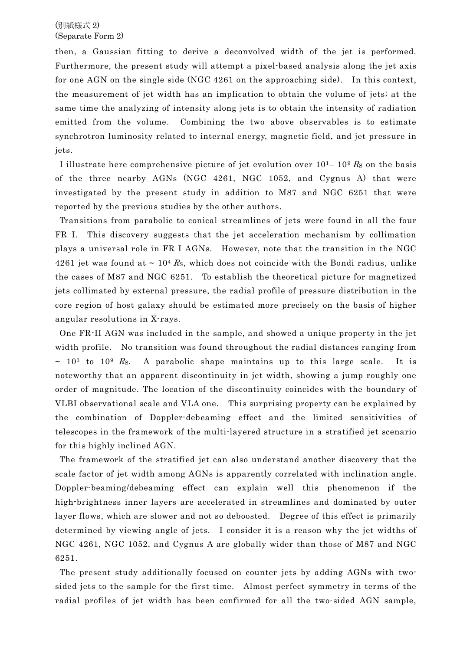then, a Gaussian fitting to derive a deconvolved width of the jet is performed. Furthermore, the present study will attempt a pixel-based analysis along the jet axis for one AGN on the single side (NGC 4261 on the approaching side). In this context, the measurement of jet width has an implication to obtain the volume of jets; at the same time the analyzing of intensity along jets is to obtain the intensity of radiation emitted from the volume. Combining the two above observables is to estimate synchrotron luminosity related to internal energy, magnetic field, and jet pressure in jets.

I illustrate here comprehensive picture of jet evolution over  $10^{1} - 10^{9} R_{S}$  on the basis of the three nearby AGNs (NGC 4261, NGC 1052, and Cygnus A) that were investigated by the present study in addition to M87 and NGC 6251 that were reported by the previous studies by the other authors.

Transitions from parabolic to conical streamlines of jets were found in all the four FR I. This discovery suggests that the jet acceleration mechanism by collimation plays a universal role in FR I AGNs. However, note that the transition in the NGC 4261 jet was found at ~ 10<sup>4</sup> Rs, which does not coincide with the Bondi radius, unlike the cases of M87 and NGC 6251. To establish the theoretical picture for magnetized jets collimated by external pressure, the radial profile of pressure distribution in the core region of host galaxy should be estimated more precisely on the basis of higher angular resolutions in X-rays.

One FR-II AGN was included in the sample, and showed a unique property in the jet width profile. No transition was found throughout the radial distances ranging from  $\sim$  10<sup>3</sup> to 10<sup>9</sup> Rs. A parabolic shape maintains up to this large scale. It is noteworthy that an apparent discontinuity in jet width, showing a jump roughly one order of magnitude. The location of the discontinuity coincides with the boundary of VLBI observational scale and VLA one. This surprising property can be explained by the combination of Doppler-debeaming effect and the limited sensitivities of telescopes in the framework of the multi-layered structure in a stratified jet scenario for this highly inclined AGN.

The framework of the stratified jet can also understand another discovery that the scale factor of jet width among AGNs is apparently correlated with inclination angle. Doppler-beaming/debeaming effect can explain well this phenomenon if the high-brightness inner layers are accelerated in streamlines and dominated by outer layer flows, which are slower and not so deboosted. Degree of this effect is primarily determined by viewing angle of jets. I consider it is a reason why the jet widths of NGC 4261, NGC 1052, and Cygnus A are globally wider than those of M87 and NGC 6251.

The present study additionally focused on counter jets by adding AGNs with twosided jets to the sample for the first time. Almost perfect symmetry in terms of the radial profiles of jet width has been confirmed for all the two-sided AGN sample,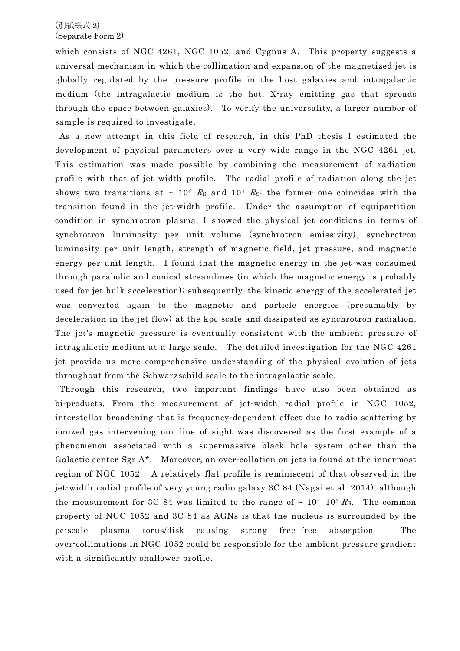## (別紙様式 2) (Separate Form 2)

which consists of NGC 4261, NGC 1052, and Cygnus A. This property suggests a universal mechanism in which the collimation and expansion of the magnetized jet is globally regulated by the pressure profile in the host galaxies and intragalactic medium (the intragalactic medium is the hot, X-ray emitting gas that spreads through the space between galaxies). To verify the universality, a larger number of sample is required to investigate.

As a new attempt in this field of research, in this PhD thesis I estimated the development of physical parameters over a very wide range in the NGC 4261 jet. This estimation was made possible by combining the measurement of radiation profile with that of jet width profile. The radial profile of radiation along the jet shows two transitions at  $\sim 10^6$  Rs and 10<sup>4</sup> Rs; the former one coincides with the transition found in the jet-width profile. Under the assumption of equipartition condition in synchrotron plasma, I showed the physical jet conditions in terms of synchrotron luminosity per unit volume (synchrotron emissivity), synchrotron luminosity per unit length, strength of magnetic field, jet pressure, and magnetic energy per unit length. I found that the magnetic energy in the jet was consumed through parabolic and conical streamlines (in which the magnetic energy is probably used for jet bulk acceleration); subsequently, the kinetic energy of the accelerated jet was converted again to the magnetic and particle energies (presumably by deceleration in the jet flow) at the kpc scale and dissipated as synchrotron radiation. The jet's magnetic pressure is eventually consistent with the ambient pressure of intragalactic medium at a large scale. The detailed investigation for the NGC 4261 jet provide us more comprehensive understanding of the physical evolution of jets throughout from the Schwarzschild scale to the intragalactic scale.

Through this research, two important findings have also been obtained as bi-products. From the measurement of jet-width radial profile in NGC 1052, interstellar broadening that is frequency-dependent effect due to radio scattering by ionized gas intervening our line of sight was discovered as the first example of a phenomenon associated with a supermassive black hole system other than the Galactic center Sgr A\*. Moreover, an over-collation on jets is found at the innermost region of NGC 1052. A relatively flat profile is reminiscent of that observed in the jet-width radial profile of very young radio galaxy 3C 84 (Nagai et al. 2014), although the measurement for 3C 84 was limited to the range of ~  $10^{4}-10^{5}$  Rs. The common property of NGC 1052 and 3C 84 as AGNs is that the nucleus is surrounded by the pc-scale plasma torus/disk causing strong free–free absorption. The over-collimations in NGC 1052 could be responsible for the ambient pressure gradient with a significantly shallower profile.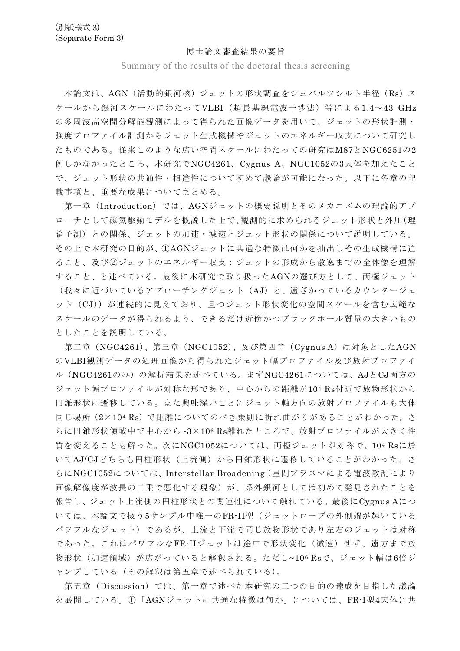#### 博士論文審査結果の要旨

Summary of the results of the doctoral thesis screening

本論文は、AGN(活動的銀河核)ジェットの形状調査をシュバルツシルト半径(Rs)ス ケールから銀河スケールにわたってVLBI(超長基線電波干渉法)等による1.4~43 GHz の多周波高空間分解能観測によって得られた画像データを用いて、ジェットの形状計測・ 強度プロファイル計測からジェット生成機構やジェットのエネルギー収支について研究し たものである。従来このような広い空間スケールにわたっての研究はM87とNGC6251の2 例しかなかったところ、本研究でNGC4261、Cygnus A、NGC1052の3天体を加えたこと で、ジェット形状の共通性・相違性について初めて議論が可能になった。以下に各章の記 載事項と、重要な成果についてまとめる。

第一章(Introduction)では、AGNジェットの概要説明とそのメカニズムの理論的アプ ローチとして磁気駆動モデルを概説した上で、観測的に求められるジェット形状と外圧(理 論予測)との関係、ジェットの加㏿・減㏿とジェット形状の関係について説明している。 その上で本研究の目的が、①AGNジェットに共通な特徴は何かを抽出しその生成機構に迫 ること、及び②ジェットのエネルギー収支:ジェットの形成から散逸までの全体像を理解 すること、と述べている。最後に本研究で取り扱ったAGNの選び方として、両極ジェット (我々に近づいているアプローチングジェット(AJ)と、遠ざかっているカウンタージェ ット(CJ))が連続的に見えており、且つジェット形状変化の空間スケールを含む広範な スケールのデータが得られるよう、できるだけ近傍かつブラックホール質量の大きいもの としたことを説明している。

第二章(NGC4261)、第三章(NGC1052)、及び第四章(Cygnus A)は対象としたAGN のVLBI観測データの処理画像から得られたジェット幅プロファイル及び放射プロファイ ル(NGC4261のみ)の解析結果を述べている。まずNGC4261については、AJとCJ両方の ジェット幅プロファイルが対称な形であり、中心からの距離が104 Rs付近で放物形状から 円錐形状に遷移している。また興味深いことにジェット軸方向の放射プロファイルも大体 同じ場所(2×104 Rs)で距離についてのべき乗則に折れ曲がりがあることがわかった。さ らに円錐形状領域中で中心から~3×106 Rs離れたところで、放射プロファイルが大きく性 質を変えることも解った。次にNGC1052については、両極ジェットが対称で、104 Rsに於 いてAJ/CJどちらも円柱形状(上流側)から円錐形状に遷移していることがわかった。さ らにNGC1052については、Interstellar Broadening(星間プラズマによる電波散乱により 画像解像度が波長の二乗で悪化する現象)が、系外銀河としては初めて発見されたことを 報告し、ジェット上流側の円柱形状との関連性について触れている。最後にCygnus Aにつ いては、本論文で扱う5サンプル中唯一のFR-II型(ジェットローブの外側端が輝いている パワフルなジェット)であるが、上流と下流で同じ放物形状であり左右のジェットは対称 であった。これはパワフルなFR-IIジェットは途中で形状変化(減速)せず、遠方まで放 物形状(加速領域)が広がっていると解釈される。ただし~106 Rsで、ジェット幅は6倍ジ ャンプしている(その解釈は第五章で述べられている)。

第五章(Discussion)では、第一章で述べた本研究の二つの目的の達成を目指した議論 を展開している。①「AGNジェットに共通な特徴は何か」については、FR-I型4天体に共